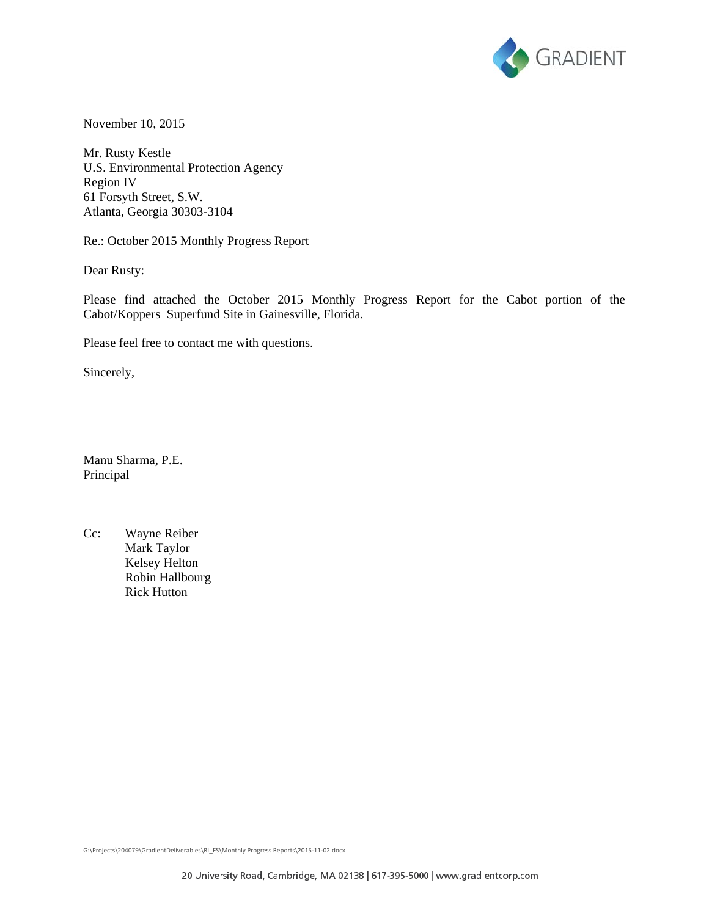

November 10, 2015

Mr. Rusty Kestle U.S. Environmental Protection Agency Region IV 61 Forsyth Street, S.W. Atlanta, Georgia 30303-3104

Re.: October 2015 Monthly Progress Report

Dear Rusty:

Please find attached the October 2015 Monthly Progress Report for the Cabot portion of the Cabot/Koppers Superfund Site in Gainesville, Florida.

Please feel free to contact me with questions.

Sincerely,

Manu Sharma, P.E. Principal

Cc: Wayne Reiber Mark Taylor Kelsey Helton Robin Hallbourg Rick Hutton

G:\Projects\204079\GradientDeliverables\RI\_FS\Monthly Progress Reports\2015‐11‐02.docx